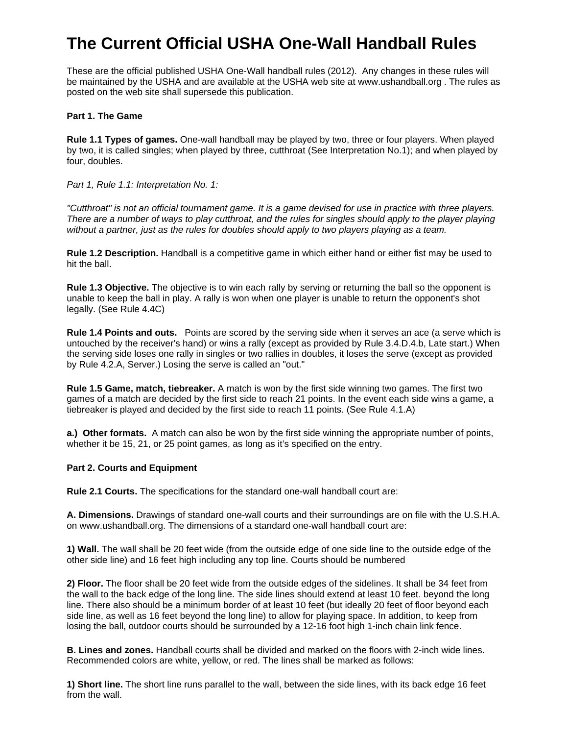# **The Current Official USHA One-Wall Handball Rules**

These are the official published USHA One-Wall handball rules (2012). Any changes in these rules will be maintained by the USHA and are available at the USHA web site at www.ushandball.org . The rules as posted on the web site shall supersede this publication.

## **Part 1. The Game**

**Rule 1.1 Types of games.** One-wall handball may be played by two, three or four players. When played by two, it is called singles; when played by three, cutthroat (See Interpretation No.1); and when played by four, doubles.

*Part 1, Rule 1.1: Interpretation No. 1:* 

*"Cutthroat" is not an official tournament game. It is a game devised for use in practice with three players. There are a number of ways to play cutthroat, and the rules for singles should apply to the player playing without a partner, just as the rules for doubles should apply to two players playing as a team.*

**Rule 1.2 Description.** Handball is a competitive game in which either hand or either fist may be used to hit the ball.

**Rule 1.3 Objective.** The objective is to win each rally by serving or returning the ball so the opponent is unable to keep the ball in play. A rally is won when one player is unable to return the opponent's shot legally. (See Rule 4.4C)

**Rule 1.4 Points and outs.** Points are scored by the serving side when it serves an ace (a serve which is untouched by the receiver's hand) or wins a rally (except as provided by Rule 3.4.D.4.b, Late start.) When the serving side loses one rally in singles or two rallies in doubles, it loses the serve (except as provided by Rule 4.2.A, Server.) Losing the serve is called an "out."

**Rule 1.5 Game, match, tiebreaker.** A match is won by the first side winning two games. The first two games of a match are decided by the first side to reach 21 points. In the event each side wins a game, a tiebreaker is played and decided by the first side to reach 11 points. (See Rule 4.1.A)

**a.) Other formats.** A match can also be won by the first side winning the appropriate number of points, whether it be 15, 21, or 25 point games, as long as it's specified on the entry.

# **Part 2. Courts and Equipment**

**Rule 2.1 Courts.** The specifications for the standard one-wall handball court are:

**A. Dimensions.** Drawings of standard one-wall courts and their surroundings are on file with the U.S.H.A. on www.ushandball.org. The dimensions of a standard one-wall handball court are:

**1) Wall.** The wall shall be 20 feet wide (from the outside edge of one side line to the outside edge of the other side line) and 16 feet high including any top line. Courts should be numbered

**2) Floor.** The floor shall be 20 feet wide from the outside edges of the sidelines. It shall be 34 feet from the wall to the back edge of the long line. The side lines should extend at least 10 feet. beyond the long line. There also should be a minimum border of at least 10 feet (but ideally 20 feet of floor beyond each side line, as well as 16 feet beyond the long line) to allow for playing space. In addition, to keep from losing the ball, outdoor courts should be surrounded by a 12-16 foot high 1-inch chain link fence.

**B. Lines and zones.** Handball courts shall be divided and marked on the floors with 2-inch wide lines. Recommended colors are white, yellow, or red. The lines shall be marked as follows:

**1) Short line.** The short line runs parallel to the wall, between the side lines, with its back edge 16 feet from the wall.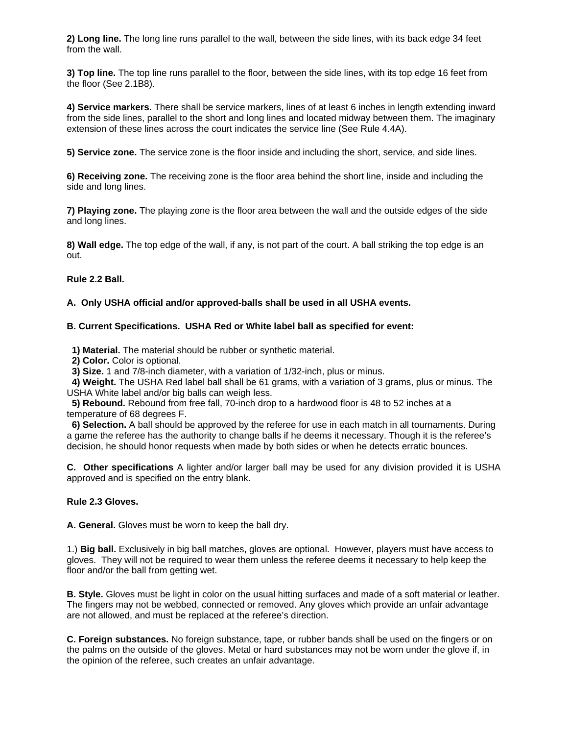**2) Long line.** The long line runs parallel to the wall, between the side lines, with its back edge 34 feet from the wall.

**3) Top line.** The top line runs parallel to the floor, between the side lines, with its top edge 16 feet from the floor (See 2.1B8).

**4) Service markers.** There shall be service markers, lines of at least 6 inches in length extending inward from the side lines, parallel to the short and long lines and located midway between them. The imaginary extension of these lines across the court indicates the service line (See Rule 4.4A).

**5) Service zone.** The service zone is the floor inside and including the short, service, and side lines.

**6) Receiving zone.** The receiving zone is the floor area behind the short line, inside and including the side and long lines.

**7) Playing zone.** The playing zone is the floor area between the wall and the outside edges of the side and long lines.

**8) Wall edge.** The top edge of the wall, if any, is not part of the court. A ball striking the top edge is an out.

**Rule 2.2 Ball.**

#### **A. Only USHA official and/or approved-balls shall be used in all USHA events.**

#### **B. Current Specifications. USHA Red or White label ball as specified for event:**

 **1) Material.** The material should be rubber or synthetic material.

**2) Color.** Color is optional.

**3) Size.** 1 and 7/8-inch diameter, with a variation of 1/32-inch, plus or minus.

 **4) Weight.** The USHA Red label ball shall be 61 grams, with a variation of 3 grams, plus or minus. The USHA White label and/or big balls can weigh less.

 **5) Rebound.** Rebound from free fall, 70-inch drop to a hardwood floor is 48 to 52 inches at a temperature of 68 degrees F.

 **6) Selection.** A ball should be approved by the referee for use in each match in all tournaments. During a game the referee has the authority to change balls if he deems it necessary. Though it is the referee's decision, he should honor requests when made by both sides or when he detects erratic bounces.

**C. Other specifications** A lighter and/or larger ball may be used for any division provided it is USHA approved and is specified on the entry blank.

#### **Rule 2.3 Gloves.**

**A. General.** Gloves must be worn to keep the ball dry.

1.) **Big ball.** Exclusively in big ball matches, gloves are optional. However, players must have access to gloves. They will not be required to wear them unless the referee deems it necessary to help keep the floor and/or the ball from getting wet.

**B. Style.** Gloves must be light in color on the usual hitting surfaces and made of a soft material or leather. The fingers may not be webbed, connected or removed. Any gloves which provide an unfair advantage are not allowed, and must be replaced at the referee's direction.

**C. Foreign substances.** No foreign substance, tape, or rubber bands shall be used on the fingers or on the palms on the outside of the gloves. Metal or hard substances may not be worn under the glove if, in the opinion of the referee, such creates an unfair advantage.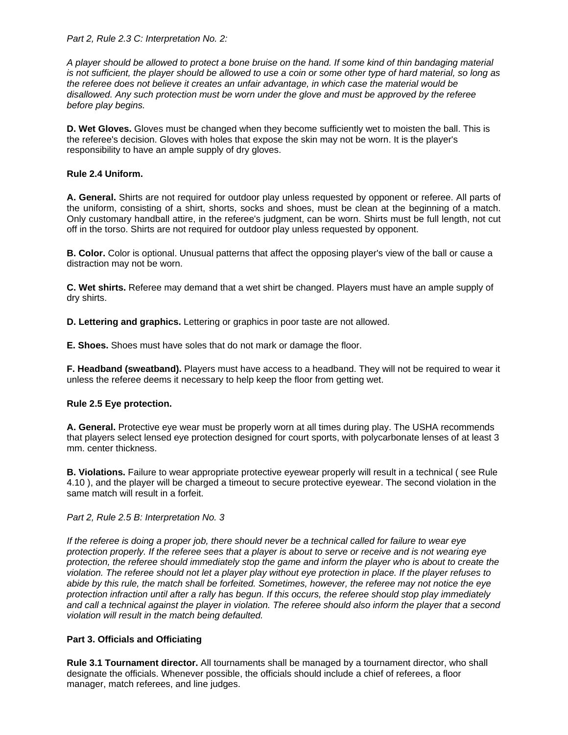*Part 2, Rule 2.3 C: Interpretation No. 2:* 

*A player should be allowed to protect a bone bruise on the hand. If some kind of thin bandaging material is not sufficient, the player should be allowed to use a coin or some other type of hard material, so long as the referee does not believe it creates an unfair advantage, in which case the material would be disallowed. Any such protection must be worn under the glove and must be approved by the referee before play begins.* 

**D. Wet Gloves.** Gloves must be changed when they become sufficiently wet to moisten the ball. This is the referee's decision. Gloves with holes that expose the skin may not be worn. It is the player's responsibility to have an ample supply of dry gloves.

# **Rule 2.4 Uniform.**

**A. General.** Shirts are not required for outdoor play unless requested by opponent or referee. All parts of the uniform, consisting of a shirt, shorts, socks and shoes, must be clean at the beginning of a match. Only customary handball attire, in the referee's judgment, can be worn. Shirts must be full length, not cut off in the torso. Shirts are not required for outdoor play unless requested by opponent.

**B. Color.** Color is optional. Unusual patterns that affect the opposing player's view of the ball or cause a distraction may not be worn.

**C. Wet shirts.** Referee may demand that a wet shirt be changed. Players must have an ample supply of dry shirts.

**D. Lettering and graphics.** Lettering or graphics in poor taste are not allowed.

**E. Shoes.** Shoes must have soles that do not mark or damage the floor.

**F. Headband (sweatband).** Players must have access to a headband. They will not be required to wear it unless the referee deems it necessary to help keep the floor from getting wet.

#### **Rule 2.5 Eye protection.**

**A. General.** Protective eye wear must be properly worn at all times during play. The USHA recommends that players select lensed eye protection designed for court sports, with polycarbonate lenses of at least 3 mm. center thickness.

**B. Violations.** Failure to wear appropriate protective eyewear properly will result in a technical ( see Rule 4.10 ), and the player will be charged a timeout to secure protective eyewear. The second violation in the same match will result in a forfeit.

#### *Part 2, Rule 2.5 B: Interpretation No. 3*

*If the referee is doing a proper job, there should never be a technical called for failure to wear eye protection properly. If the referee sees that a player is about to serve or receive and is not wearing eye protection, the referee should immediately stop the game and inform the player who is about to create the violation. The referee should not let a player play without eye protection in place. If the player refuses to abide by this rule, the match shall be forfeited. Sometimes, however, the referee may not notice the eye protection infraction until after a rally has begun. If this occurs, the referee should stop play immediately and call a technical against the player in violation. The referee should also inform the player that a second violation will result in the match being defaulted.* 

#### **Part 3. Officials and Officiating**

**Rule 3.1 Tournament director.** All tournaments shall be managed by a tournament director, who shall designate the officials. Whenever possible, the officials should include a chief of referees, a floor manager, match referees, and line judges.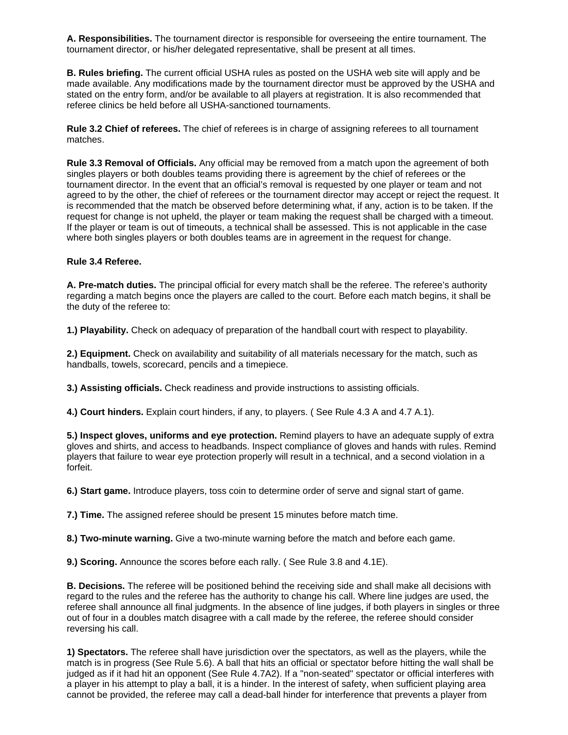**A. Responsibilities.** The tournament director is responsible for overseeing the entire tournament. The tournament director, or his/her delegated representative, shall be present at all times.

**B. Rules briefing.** The current official USHA rules as posted on the USHA web site will apply and be made available. Any modifications made by the tournament director must be approved by the USHA and stated on the entry form, and/or be available to all players at registration. It is also recommended that referee clinics be held before all USHA-sanctioned tournaments.

**Rule 3.2 Chief of referees.** The chief of referees is in charge of assigning referees to all tournament matches.

**Rule 3.3 Removal of Officials.** Any official may be removed from a match upon the agreement of both singles players or both doubles teams providing there is agreement by the chief of referees or the tournament director. In the event that an official's removal is requested by one player or team and not agreed to by the other, the chief of referees or the tournament director may accept or reject the request. It is recommended that the match be observed before determining what, if any, action is to be taken. If the request for change is not upheld, the player or team making the request shall be charged with a timeout. If the player or team is out of timeouts, a technical shall be assessed. This is not applicable in the case where both singles players or both doubles teams are in agreement in the request for change.

## **Rule 3.4 Referee.**

**A. Pre-match duties.** The principal official for every match shall be the referee. The referee's authority regarding a match begins once the players are called to the court. Before each match begins, it shall be the duty of the referee to:

**1.) Playability.** Check on adequacy of preparation of the handball court with respect to playability.

**2.) Equipment.** Check on availability and suitability of all materials necessary for the match, such as handballs, towels, scorecard, pencils and a timepiece.

**3.) Assisting officials.** Check readiness and provide instructions to assisting officials.

**4.) Court hinders.** Explain court hinders, if any, to players. ( See Rule 4.3 A and 4.7 A.1).

**5.) Inspect gloves, uniforms and eye protection.** Remind players to have an adequate supply of extra gloves and shirts, and access to headbands. Inspect compliance of gloves and hands with rules. Remind players that failure to wear eye protection properly will result in a technical, and a second violation in a forfeit.

**6.) Start game.** Introduce players, toss coin to determine order of serve and signal start of game.

**7.) Time.** The assigned referee should be present 15 minutes before match time.

**8.) Two-minute warning.** Give a two-minute warning before the match and before each game.

**9.) Scoring.** Announce the scores before each rally. ( See Rule 3.8 and 4.1E).

**B. Decisions.** The referee will be positioned behind the receiving side and shall make all decisions with regard to the rules and the referee has the authority to change his call. Where line judges are used, the referee shall announce all final judgments. In the absence of line judges, if both players in singles or three out of four in a doubles match disagree with a call made by the referee, the referee should consider reversing his call.

**1) Spectators.** The referee shall have jurisdiction over the spectators, as well as the players, while the match is in progress (See Rule 5.6). A ball that hits an official or spectator before hitting the wall shall be judged as if it had hit an opponent (See Rule 4.7A2). If a "non-seated" spectator or official interferes with a player in his attempt to play a ball, it is a hinder. In the interest of safety, when sufficient playing area cannot be provided, the referee may call a dead-ball hinder for interference that prevents a player from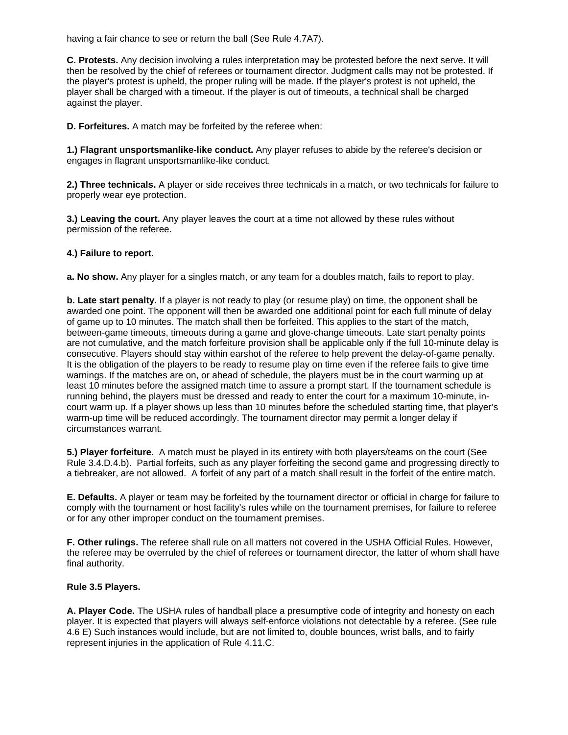having a fair chance to see or return the ball (See Rule 4.7A7).

**C. Protests.** Any decision involving a rules interpretation may be protested before the next serve. It will then be resolved by the chief of referees or tournament director. Judgment calls may not be protested. If the player's protest is upheld, the proper ruling will be made. If the player's protest is not upheld, the player shall be charged with a timeout. If the player is out of timeouts, a technical shall be charged against the player.

**D. Forfeitures.** A match may be forfeited by the referee when:

**1.) Flagrant unsportsmanlike-like conduct.** Any player refuses to abide by the referee's decision or engages in flagrant unsportsmanlike-like conduct.

**2.) Three technicals.** A player or side receives three technicals in a match, or two technicals for failure to properly wear eye protection.

**3.) Leaving the court.** Any player leaves the court at a time not allowed by these rules without permission of the referee.

## **4.) Failure to report.**

**a. No show.** Any player for a singles match, or any team for a doubles match, fails to report to play.

**b. Late start penalty.** If a player is not ready to play (or resume play) on time, the opponent shall be awarded one point. The opponent will then be awarded one additional point for each full minute of delay of game up to 10 minutes. The match shall then be forfeited. This applies to the start of the match, between-game timeouts, timeouts during a game and glove-change timeouts. Late start penalty points are not cumulative, and the match forfeiture provision shall be applicable only if the full 10-minute delay is consecutive. Players should stay within earshot of the referee to help prevent the delay-of-game penalty. It is the obligation of the players to be ready to resume play on time even if the referee fails to give time warnings. If the matches are on, or ahead of schedule, the players must be in the court warming up at least 10 minutes before the assigned match time to assure a prompt start. If the tournament schedule is running behind, the players must be dressed and ready to enter the court for a maximum 10-minute, incourt warm up. If a player shows up less than 10 minutes before the scheduled starting time, that player's warm-up time will be reduced accordingly. The tournament director may permit a longer delay if circumstances warrant.

**5.) Player forfeiture.** A match must be played in its entirety with both players/teams on the court (See Rule 3.4.D.4.b). Partial forfeits, such as any player forfeiting the second game and progressing directly to a tiebreaker, are not allowed. A forfeit of any part of a match shall result in the forfeit of the entire match.

**E. Defaults.** A player or team may be forfeited by the tournament director or official in charge for failure to comply with the tournament or host facility's rules while on the tournament premises, for failure to referee or for any other improper conduct on the tournament premises.

**F. Other rulings.** The referee shall rule on all matters not covered in the USHA Official Rules. However, the referee may be overruled by the chief of referees or tournament director, the latter of whom shall have final authority.

# **Rule 3.5 Players.**

**A. Player Code.** The USHA rules of handball place a presumptive code of integrity and honesty on each player. It is expected that players will always self-enforce violations not detectable by a referee. (See rule 4.6 E) Such instances would include, but are not limited to, double bounces, wrist balls, and to fairly represent injuries in the application of Rule 4.11.C.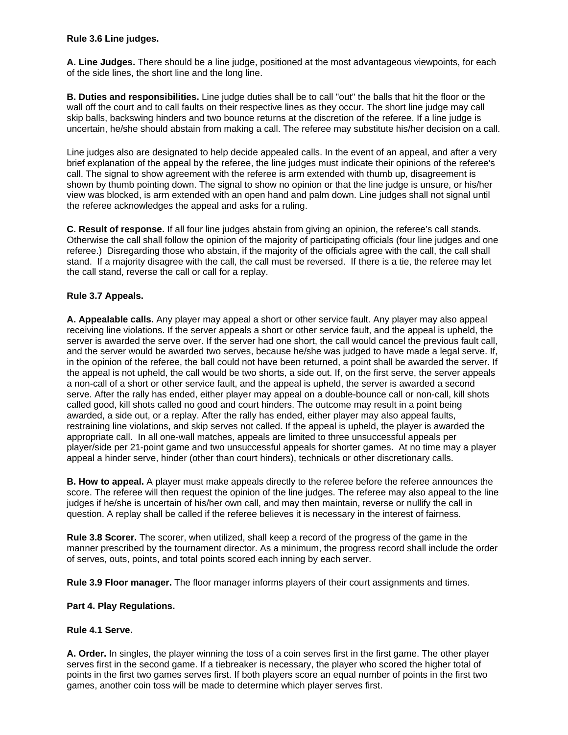## **Rule 3.6 Line judges.**

**A. Line Judges.** There should be a line judge, positioned at the most advantageous viewpoints, for each of the side lines, the short line and the long line.

**B. Duties and responsibilities.** Line judge duties shall be to call "out" the balls that hit the floor or the wall off the court and to call faults on their respective lines as they occur. The short line judge may call skip balls, backswing hinders and two bounce returns at the discretion of the referee. If a line judge is uncertain, he/she should abstain from making a call. The referee may substitute his/her decision on a call.

Line judges also are designated to help decide appealed calls. In the event of an appeal, and after a very brief explanation of the appeal by the referee, the line judges must indicate their opinions of the referee's call. The signal to show agreement with the referee is arm extended with thumb up, disagreement is shown by thumb pointing down. The signal to show no opinion or that the line judge is unsure, or his/her view was blocked, is arm extended with an open hand and palm down. Line judges shall not signal until the referee acknowledges the appeal and asks for a ruling.

**C. Result of response.** If all four line judges abstain from giving an opinion, the referee's call stands. Otherwise the call shall follow the opinion of the majority of participating officials (four line judges and one referee.) Disregarding those who abstain, if the majority of the officials agree with the call, the call shall stand. If a majority disagree with the call, the call must be reversed. If there is a tie, the referee may let the call stand, reverse the call or call for a replay.

# **Rule 3.7 Appeals.**

**A. Appealable calls.** Any player may appeal a short or other service fault. Any player may also appeal receiving line violations. If the server appeals a short or other service fault, and the appeal is upheld, the server is awarded the serve over. If the server had one short, the call would cancel the previous fault call, and the server would be awarded two serves, because he/she was judged to have made a legal serve. If, in the opinion of the referee, the ball could not have been returned, a point shall be awarded the server. If the appeal is not upheld, the call would be two shorts, a side out. If, on the first serve, the server appeals a non-call of a short or other service fault, and the appeal is upheld, the server is awarded a second serve. After the rally has ended, either player may appeal on a double-bounce call or non-call, kill shots called good, kill shots called no good and court hinders. The outcome may result in a point being awarded, a side out, or a replay. After the rally has ended, either player may also appeal faults, restraining line violations, and skip serves not called. If the appeal is upheld, the player is awarded the appropriate call. In all one-wall matches, appeals are limited to three unsuccessful appeals per player/side per 21-point game and two unsuccessful appeals for shorter games. At no time may a player appeal a hinder serve, hinder (other than court hinders), technicals or other discretionary calls.

**B. How to appeal.** A player must make appeals directly to the referee before the referee announces the score. The referee will then request the opinion of the line judges. The referee may also appeal to the line judges if he/she is uncertain of his/her own call, and may then maintain, reverse or nullify the call in question. A replay shall be called if the referee believes it is necessary in the interest of fairness.

**Rule 3.8 Scorer.** The scorer, when utilized, shall keep a record of the progress of the game in the manner prescribed by the tournament director. As a minimum, the progress record shall include the order of serves, outs, points, and total points scored each inning by each server.

**Rule 3.9 Floor manager.** The floor manager informs players of their court assignments and times.

#### **Part 4. Play Regulations.**

#### **Rule 4.1 Serve.**

**A. Order.** In singles, the player winning the toss of a coin serves first in the first game. The other player serves first in the second game. If a tiebreaker is necessary, the player who scored the higher total of points in the first two games serves first. If both players score an equal number of points in the first two games, another coin toss will be made to determine which player serves first.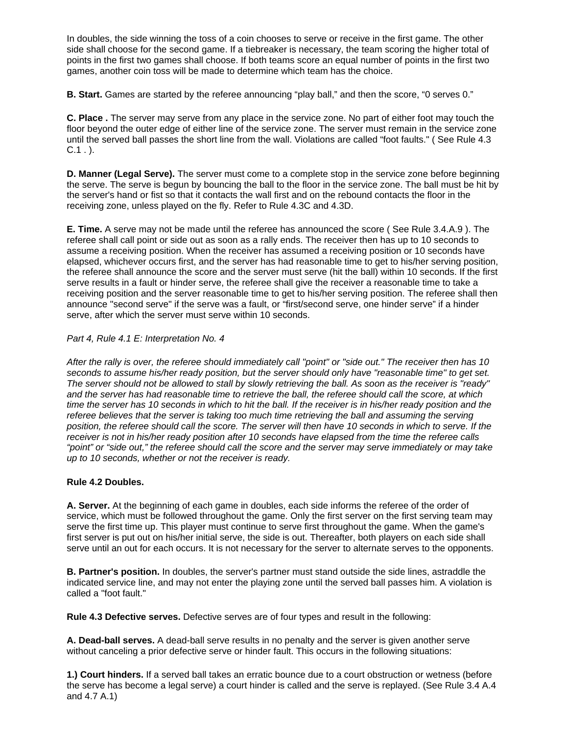In doubles, the side winning the toss of a coin chooses to serve or receive in the first game. The other side shall choose for the second game. If a tiebreaker is necessary, the team scoring the higher total of points in the first two games shall choose. If both teams score an equal number of points in the first two games, another coin toss will be made to determine which team has the choice.

**B. Start.** Games are started by the referee announcing "play ball," and then the score, "0 serves 0."

**C. Place .** The server may serve from any place in the service zone. No part of either foot may touch the floor beyond the outer edge of either line of the service zone. The server must remain in the service zone until the served ball passes the short line from the wall. Violations are called "foot faults." ( See Rule 4.3  $C.1$ .

**D. Manner (Legal Serve).** The server must come to a complete stop in the service zone before beginning the serve. The serve is begun by bouncing the ball to the floor in the service zone. The ball must be hit by the server's hand or fist so that it contacts the wall first and on the rebound contacts the floor in the receiving zone, unless played on the fly. Refer to Rule 4.3C and 4.3D.

**E. Time.** A serve may not be made until the referee has announced the score ( See Rule 3.4.A.9 ). The referee shall call point or side out as soon as a rally ends. The receiver then has up to 10 seconds to assume a receiving position. When the receiver has assumed a receiving position or 10 seconds have elapsed, whichever occurs first, and the server has had reasonable time to get to his/her serving position, the referee shall announce the score and the server must serve (hit the ball) within 10 seconds. If the first serve results in a fault or hinder serve, the referee shall give the receiver a reasonable time to take a receiving position and the server reasonable time to get to his/her serving position. The referee shall then announce "second serve" if the serve was a fault, or "first/second serve, one hinder serve" if a hinder serve, after which the server must serve within 10 seconds.

## *Part 4, Rule 4.1 E: Interpretation No. 4*

*After the rally is over, the referee should immediately call "point" or "side out." The receiver then has 10 seconds to assume his/her ready position, but the server should only have "reasonable time" to get set. The server should not be allowed to stall by slowly retrieving the ball. As soon as the receiver is "ready" and the server has had reasonable time to retrieve the ball, the referee should call the score, at which time the server has 10 seconds in which to hit the ball. If the receiver is in his/her ready position and the referee believes that the server is taking too much time retrieving the ball and assuming the serving position, the referee should call the score. The server will then have 10 seconds in which to serve. If the receiver is not in his/her ready position after 10 seconds have elapsed from the time the referee calls "point" or "side out," the referee should call the score and the server may serve immediately or may take up to 10 seconds, whether or not the receiver is ready.*

# **Rule 4.2 Doubles.**

**A. Server.** At the beginning of each game in doubles, each side informs the referee of the order of service, which must be followed throughout the game. Only the first server on the first serving team may serve the first time up. This player must continue to serve first throughout the game. When the game's first server is put out on his/her initial serve, the side is out. Thereafter, both players on each side shall serve until an out for each occurs. It is not necessary for the server to alternate serves to the opponents.

**B. Partner's position.** In doubles, the server's partner must stand outside the side lines, astraddle the indicated service line, and may not enter the playing zone until the served ball passes him. A violation is called a "foot fault."

**Rule 4.3 Defective serves.** Defective serves are of four types and result in the following:

**A. Dead-ball serves.** A dead-ball serve results in no penalty and the server is given another serve without canceling a prior defective serve or hinder fault. This occurs in the following situations:

**1.) Court hinders.** If a served ball takes an erratic bounce due to a court obstruction or wetness (before the serve has become a legal serve) a court hinder is called and the serve is replayed. (See Rule 3.4 A.4 and 4.7 A.1)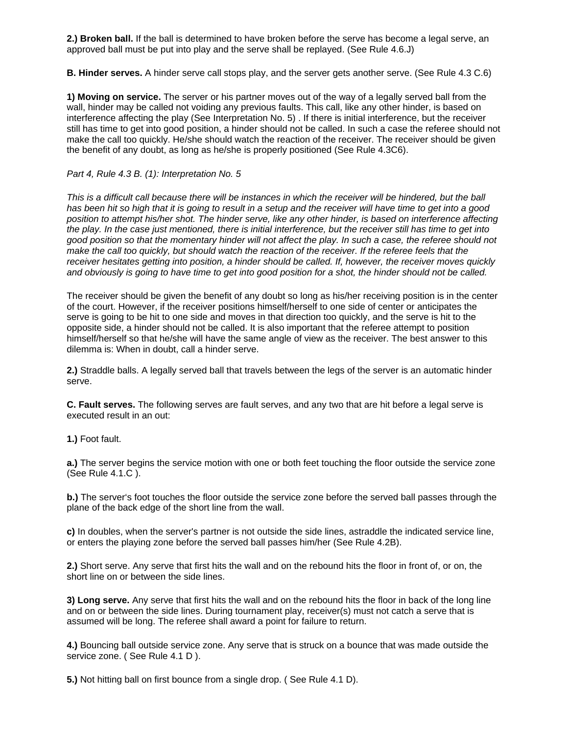**2.) Broken ball.** If the ball is determined to have broken before the serve has become a legal serve, an approved ball must be put into play and the serve shall be replayed. (See Rule 4.6.J)

**B. Hinder serves.** A hinder serve call stops play, and the server gets another serve. (See Rule 4.3 C.6)

**1) Moving on service.** The server or his partner moves out of the way of a legally served ball from the wall, hinder may be called not voiding any previous faults. This call, like any other hinder, is based on interference affecting the play (See Interpretation No. 5) . If there is initial interference, but the receiver still has time to get into good position, a hinder should not be called. In such a case the referee should not make the call too quickly. He/she should watch the reaction of the receiver. The receiver should be given the benefit of any doubt, as long as he/she is properly positioned (See Rule 4.3C6).

## *Part 4, Rule 4.3 B. (1): Interpretation No. 5*

This is a difficult call because there will be instances in which the receiver will be hindered, but the ball *has been hit so high that it is going to result in a setup and the receiver will have time to get into a good position to attempt his/her shot. The hinder serve, like any other hinder, is based on interference affecting the play. In the case just mentioned, there is initial interference, but the receiver still has time to get into good position so that the momentary hinder will not affect the play. In such a case, the referee should not*  make the call too quickly, but should watch the reaction of the receiver. If the referee feels that the *receiver hesitates getting into position, a hinder should be called. If, however, the receiver moves quickly and obviously is going to have time to get into good position for a shot, the hinder should not be called.* 

The receiver should be given the benefit of any doubt so long as his/her receiving position is in the center of the court. However, if the receiver positions himself/herself to one side of center or anticipates the serve is going to be hit to one side and moves in that direction too quickly, and the serve is hit to the opposite side, a hinder should not be called. It is also important that the referee attempt to position himself/herself so that he/she will have the same angle of view as the receiver. The best answer to this dilemma is: When in doubt, call a hinder serve.

**2.)** Straddle balls. A legally served ball that travels between the legs of the server is an automatic hinder serve.

**C. Fault serves.** The following serves are fault serves, and any two that are hit before a legal serve is executed result in an out:

**1.)** Foot fault.

**a.)** The server begins the service motion with one or both feet touching the floor outside the service zone (See Rule 4.1.C ).

**b.)** The server's foot touches the floor outside the service zone before the served ball passes through the plane of the back edge of the short line from the wall.

**c)** In doubles, when the server's partner is not outside the side lines, astraddle the indicated service line, or enters the playing zone before the served ball passes him/her (See Rule 4.2B).

**2.)** Short serve. Any serve that first hits the wall and on the rebound hits the floor in front of, or on, the short line on or between the side lines.

**3) Long serve.** Any serve that first hits the wall and on the rebound hits the floor in back of the long line and on or between the side lines. During tournament play, receiver(s) must not catch a serve that is assumed will be long. The referee shall award a point for failure to return.

**4.)** Bouncing ball outside service zone. Any serve that is struck on a bounce that was made outside the service zone. (See Rule 4.1 D).

**5.)** Not hitting ball on first bounce from a single drop. ( See Rule 4.1 D).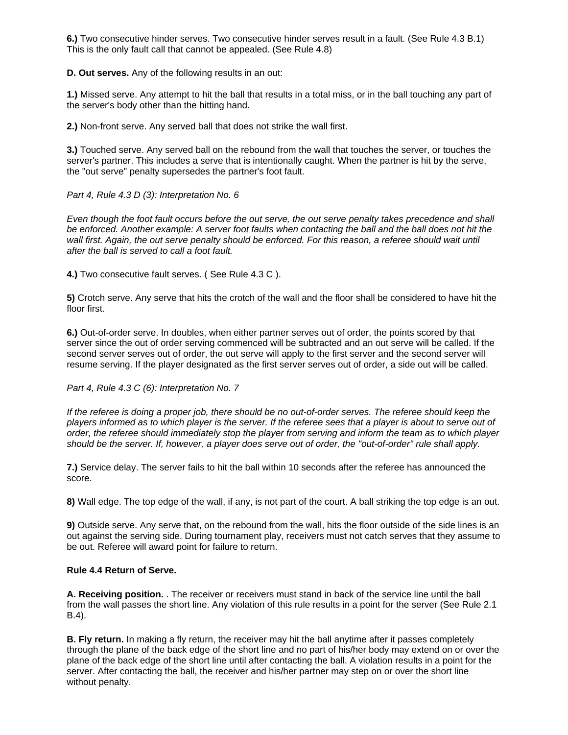**6.)** Two consecutive hinder serves. Two consecutive hinder serves result in a fault. (See Rule 4.3 B.1) This is the only fault call that cannot be appealed. (See Rule 4.8)

**D. Out serves.** Any of the following results in an out:

**1.)** Missed serve. Any attempt to hit the ball that results in a total miss, or in the ball touching any part of the server's body other than the hitting hand.

**2.)** Non-front serve. Any served ball that does not strike the wall first.

**3.)** Touched serve. Any served ball on the rebound from the wall that touches the server, or touches the server's partner. This includes a serve that is intentionally caught. When the partner is hit by the serve, the "out serve" penalty supersedes the partner's foot fault.

## *Part 4, Rule 4.3 D (3): Interpretation No. 6*

*Even though the foot fault occurs before the out serve, the out serve penalty takes precedence and shall be enforced. Another example: A server foot faults when contacting the ball and the ball does not hit the*  wall first. Again, the out serve penalty should be enforced. For this reason, a referee should wait until *after the ball is served to call a foot fault.* 

**4.)** Two consecutive fault serves. ( See Rule 4.3 C ).

**5)** Crotch serve. Any serve that hits the crotch of the wall and the floor shall be considered to have hit the floor first.

**6.)** Out-of-order serve. In doubles, when either partner serves out of order, the points scored by that server since the out of order serving commenced will be subtracted and an out serve will be called. If the second server serves out of order, the out serve will apply to the first server and the second server will resume serving. If the player designated as the first server serves out of order, a side out will be called.

## *Part 4, Rule 4.3 C (6): Interpretation No. 7*

*If the referee is doing a proper job, there should be no out-of-order serves. The referee should keep the players informed as to which player is the server. If the referee sees that a player is about to serve out of order, the referee should immediately stop the player from serving and inform the team as to which player should be the server. If, however, a player does serve out of order, the "out-of-order" rule shall apply.*

**7.)** Service delay. The server fails to hit the ball within 10 seconds after the referee has announced the score.

**8)** Wall edge. The top edge of the wall, if any, is not part of the court. A ball striking the top edge is an out.

**9)** Outside serve. Any serve that, on the rebound from the wall, hits the floor outside of the side lines is an out against the serving side. During tournament play, receivers must not catch serves that they assume to be out. Referee will award point for failure to return.

#### **Rule 4.4 Return of Serve.**

**A. Receiving position.** . The receiver or receivers must stand in back of the service line until the ball from the wall passes the short line. Any violation of this rule results in a point for the server (See Rule 2.1 B.4).

**B. Fly return.** In making a fly return, the receiver may hit the ball anytime after it passes completely through the plane of the back edge of the short line and no part of his/her body may extend on or over the plane of the back edge of the short line until after contacting the ball. A violation results in a point for the server. After contacting the ball, the receiver and his/her partner may step on or over the short line without penalty.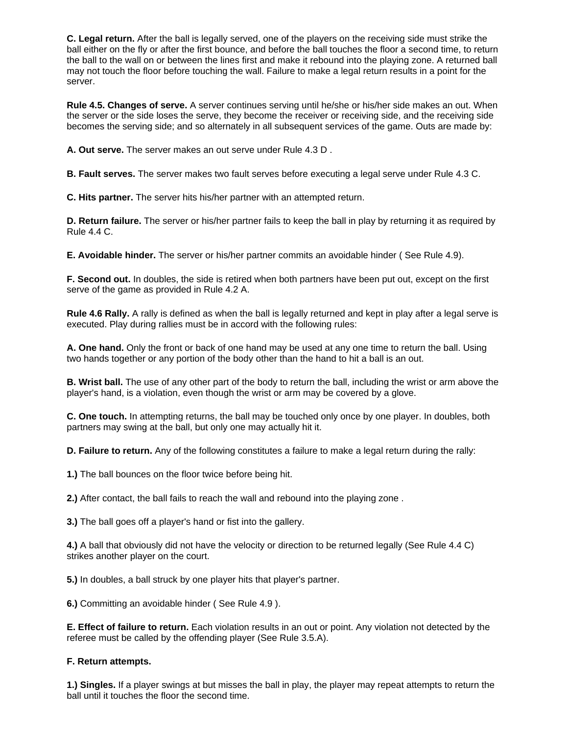**C. Legal return.** After the ball is legally served, one of the players on the receiving side must strike the ball either on the fly or after the first bounce, and before the ball touches the floor a second time, to return the ball to the wall on or between the lines first and make it rebound into the playing zone. A returned ball may not touch the floor before touching the wall. Failure to make a legal return results in a point for the server.

**Rule 4.5. Changes of serve.** A server continues serving until he/she or his/her side makes an out. When the server or the side loses the serve, they become the receiver or receiving side, and the receiving side becomes the serving side; and so alternately in all subsequent services of the game. Outs are made by:

**A. Out serve.** The server makes an out serve under Rule 4.3 D .

**B. Fault serves.** The server makes two fault serves before executing a legal serve under Rule 4.3 C.

**C. Hits partner.** The server hits his/her partner with an attempted return.

**D. Return failure.** The server or his/her partner fails to keep the ball in play by returning it as required by Rule 4.4 C.

**E. Avoidable hinder.** The server or his/her partner commits an avoidable hinder ( See Rule 4.9).

**F. Second out.** In doubles, the side is retired when both partners have been put out, except on the first serve of the game as provided in Rule 4.2 A.

**Rule 4.6 Rally.** A rally is defined as when the ball is legally returned and kept in play after a legal serve is executed. Play during rallies must be in accord with the following rules:

**A. One hand.** Only the front or back of one hand may be used at any one time to return the ball. Using two hands together or any portion of the body other than the hand to hit a ball is an out.

**B. Wrist ball.** The use of any other part of the body to return the ball, including the wrist or arm above the player's hand, is a violation, even though the wrist or arm may be covered by a glove.

**C. One touch.** In attempting returns, the ball may be touched only once by one player. In doubles, both partners may swing at the ball, but only one may actually hit it.

**D. Failure to return.** Any of the following constitutes a failure to make a legal return during the rally:

**1.)** The ball bounces on the floor twice before being hit.

**2.)** After contact, the ball fails to reach the wall and rebound into the playing zone .

**3.)** The ball goes off a player's hand or fist into the gallery.

**4.)** A ball that obviously did not have the velocity or direction to be returned legally (See Rule 4.4 C) strikes another player on the court.

**5.)** In doubles, a ball struck by one player hits that player's partner.

**6.)** Committing an avoidable hinder ( See Rule 4.9 ).

**E. Effect of failure to return.** Each violation results in an out or point. Any violation not detected by the referee must be called by the offending player (See Rule 3.5.A).

# **F. Return attempts.**

**1.) Singles.** If a player swings at but misses the ball in play, the player may repeat attempts to return the ball until it touches the floor the second time.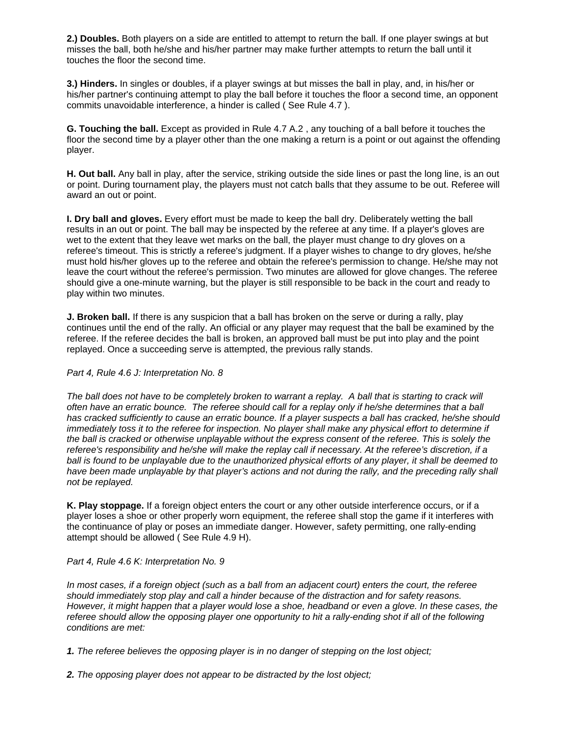**2.) Doubles.** Both players on a side are entitled to attempt to return the ball. If one player swings at but misses the ball, both he/she and his/her partner may make further attempts to return the ball until it touches the floor the second time.

**3.) Hinders.** In singles or doubles, if a player swings at but misses the ball in play, and, in his/her or his/her partner's continuing attempt to play the ball before it touches the floor a second time, an opponent commits unavoidable interference, a hinder is called ( See Rule 4.7 ).

**G. Touching the ball.** Except as provided in Rule 4.7 A.2 , any touching of a ball before it touches the floor the second time by a player other than the one making a return is a point or out against the offending player.

**H. Out ball.** Any ball in play, after the service, striking outside the side lines or past the long line, is an out or point. During tournament play, the players must not catch balls that they assume to be out. Referee will award an out or point.

**I. Dry ball and gloves.** Every effort must be made to keep the ball dry. Deliberately wetting the ball results in an out or point. The ball may be inspected by the referee at any time. If a player's gloves are wet to the extent that they leave wet marks on the ball, the player must change to dry gloves on a referee's timeout. This is strictly a referee's judgment. If a player wishes to change to dry gloves, he/she must hold his/her gloves up to the referee and obtain the referee's permission to change. He/she may not leave the court without the referee's permission. Two minutes are allowed for glove changes. The referee should give a one-minute warning, but the player is still responsible to be back in the court and ready to play within two minutes.

**J. Broken ball.** If there is any suspicion that a ball has broken on the serve or during a rally, play continues until the end of the rally. An official or any player may request that the ball be examined by the referee. If the referee decides the ball is broken, an approved ball must be put into play and the point replayed. Once a succeeding serve is attempted, the previous rally stands.

#### *Part 4, Rule 4.6 J: Interpretation No. 8*

*The ball does not have to be completely broken to warrant a replay. A ball that is starting to crack will often have an erratic bounce. The referee should call for a replay only if he/she determines that a ball has cracked sufficiently to cause an erratic bounce. If a player suspects a ball has cracked, he/she should immediately toss it to the referee for inspection. No player shall make any physical effort to determine if the ball is cracked or otherwise unplayable without the express consent of the referee. This is solely the referee's responsibility and he/she will make the replay call if necessary. At the referee's discretion, if a ball is found to be unplayable due to the unauthorized physical efforts of any player, it shall be deemed to have been made unplayable by that player's actions and not during the rally, and the preceding rally shall not be replayed.*

**K. Play stoppage.** If a foreign object enters the court or any other outside interference occurs, or if a player loses a shoe or other properly worn equipment, the referee shall stop the game if it interferes with the continuance of play or poses an immediate danger. However, safety permitting, one rally-ending attempt should be allowed ( See Rule 4.9 H).

# *Part 4, Rule 4.6 K: Interpretation No. 9*

*In most cases, if a foreign object (such as a ball from an adjacent court) enters the court, the referee should immediately stop play and call a hinder because of the distraction and for safety reasons. However, it might happen that a player would lose a shoe, headband or even a glove. In these cases, the referee should allow the opposing player one opportunity to hit a rally-ending shot if all of the following conditions are met:* 

*1. The referee believes the opposing player is in no danger of stepping on the lost object;* 

*2. The opposing player does not appear to be distracted by the lost object;*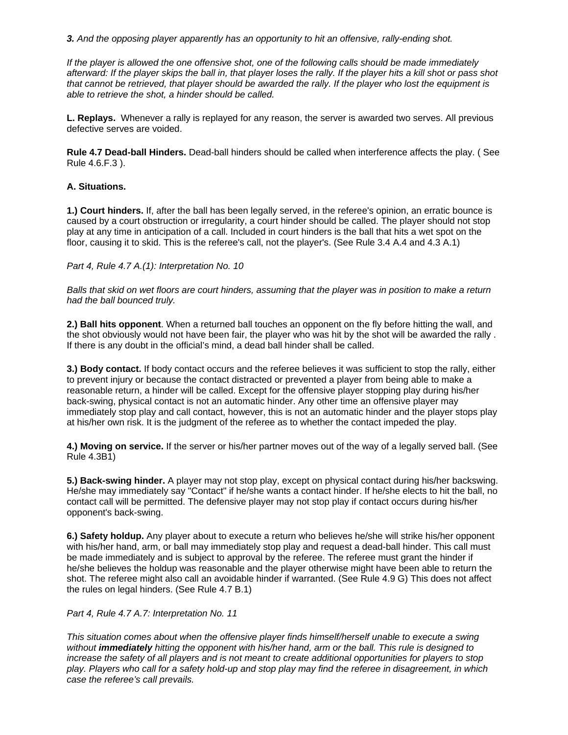*3. And the opposing player apparently has an opportunity to hit an offensive, rally-ending shot.* 

*If the player is allowed the one offensive shot, one of the following calls should be made immediately afterward: If the player skips the ball in, that player loses the rally. If the player hits a kill shot or pass shot that cannot be retrieved, that player should be awarded the rally. If the player who lost the equipment is able to retrieve the shot, a hinder should be called.*

**L. Replays.** Whenever a rally is replayed for any reason, the server is awarded two serves. All previous defective serves are voided.

**Rule 4.7 Dead-ball Hinders.** Dead-ball hinders should be called when interference affects the play. ( See Rule 4.6.F.3 ).

## **A. Situations.**

**1.) Court hinders.** If, after the ball has been legally served, in the referee's opinion, an erratic bounce is caused by a court obstruction or irregularity, a court hinder should be called. The player should not stop play at any time in anticipation of a call. Included in court hinders is the ball that hits a wet spot on the floor, causing it to skid. This is the referee's call, not the player's. (See Rule 3.4 A.4 and 4.3 A.1)

*Part 4, Rule 4.7 A.(1): Interpretation No. 10* 

*Balls that skid on wet floors are court hinders, assuming that the player was in position to make a return had the ball bounced truly.*

**2.) Ball hits opponent**. When a returned ball touches an opponent on the fly before hitting the wall, and the shot obviously would not have been fair, the player who was hit by the shot will be awarded the rally . If there is any doubt in the official's mind, a dead ball hinder shall be called.

**3.) Body contact.** If body contact occurs and the referee believes it was sufficient to stop the rally, either to prevent injury or because the contact distracted or prevented a player from being able to make a reasonable return, a hinder will be called. Except for the offensive player stopping play during his/her back-swing, physical contact is not an automatic hinder. Any other time an offensive player may immediately stop play and call contact, however, this is not an automatic hinder and the player stops play at his/her own risk. It is the judgment of the referee as to whether the contact impeded the play.

**4.) Moving on service.** If the server or his/her partner moves out of the way of a legally served ball. (See Rule 4.3B1)

**5.) Back-swing hinder.** A player may not stop play, except on physical contact during his/her backswing. He/she may immediately say "Contact" if he/she wants a contact hinder. If he/she elects to hit the ball, no contact call will be permitted. The defensive player may not stop play if contact occurs during his/her opponent's back-swing.

**6.) Safety holdup.** Any player about to execute a return who believes he/she will strike his/her opponent with his/her hand, arm, or ball may immediately stop play and request a dead-ball hinder. This call must be made immediately and is subject to approval by the referee. The referee must grant the hinder if he/she believes the holdup was reasonable and the player otherwise might have been able to return the shot. The referee might also call an avoidable hinder if warranted. (See Rule 4.9 G) This does not affect the rules on legal hinders. (See Rule 4.7 B.1)

*Part 4, Rule 4.7 A.7: Interpretation No. 11* 

*This situation comes about when the offensive player finds himself/herself unable to execute a swing without immediately hitting the opponent with his/her hand, arm or the ball. This rule is designed to increase the safety of all players and is not meant to create additional opportunities for players to stop play. Players who call for a safety hold-up and stop play may find the referee in disagreement, in which case the referee's call prevails.*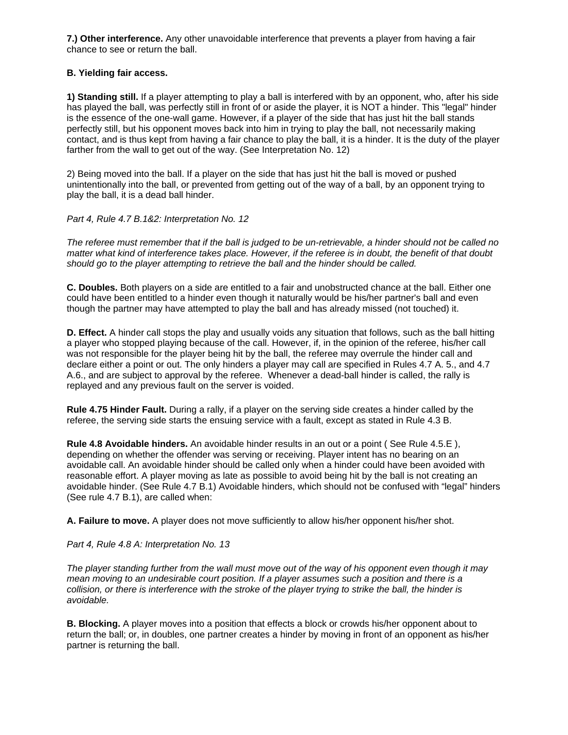**7.) Other interference.** Any other unavoidable interference that prevents a player from having a fair chance to see or return the ball.

### **B. Yielding fair access.**

**1) Standing still.** If a player attempting to play a ball is interfered with by an opponent, who, after his side has played the ball, was perfectly still in front of or aside the player, it is NOT a hinder. This "legal" hinder is the essence of the one-wall game. However, if a player of the side that has just hit the ball stands perfectly still, but his opponent moves back into him in trying to play the ball, not necessarily making contact, and is thus kept from having a fair chance to play the ball, it is a hinder. It is the duty of the player farther from the wall to get out of the way. (See Interpretation No. 12)

2) Being moved into the ball. If a player on the side that has just hit the ball is moved or pushed unintentionally into the ball, or prevented from getting out of the way of a ball, by an opponent trying to play the ball, it is a dead ball hinder.

## *Part 4, Rule 4.7 B.1&2: Interpretation No. 12*

*The referee must remember that if the ball is judged to be un-retrievable, a hinder should not be called no matter what kind of interference takes place. However, if the referee is in doubt, the benefit of that doubt should go to the player attempting to retrieve the ball and the hinder should be called.*

**C. Doubles.** Both players on a side are entitled to a fair and unobstructed chance at the ball. Either one could have been entitled to a hinder even though it naturally would be his/her partner's ball and even though the partner may have attempted to play the ball and has already missed (not touched) it.

**D. Effect.** A hinder call stops the play and usually voids any situation that follows, such as the ball hitting a player who stopped playing because of the call. However, if, in the opinion of the referee, his/her call was not responsible for the player being hit by the ball, the referee may overrule the hinder call and declare either a point or out. The only hinders a player may call are specified in Rules 4.7 A. 5., and 4.7 A.6., and are subject to approval by the referee. Whenever a dead-ball hinder is called, the rally is replayed and any previous fault on the server is voided.

**Rule 4.75 Hinder Fault.** During a rally, if a player on the serving side creates a hinder called by the referee, the serving side starts the ensuing service with a fault, except as stated in Rule 4.3 B.

**Rule 4.8 Avoidable hinders.** An avoidable hinder results in an out or a point ( See Rule 4.5.E ), depending on whether the offender was serving or receiving. Player intent has no bearing on an avoidable call. An avoidable hinder should be called only when a hinder could have been avoided with reasonable effort. A player moving as late as possible to avoid being hit by the ball is not creating an avoidable hinder. (See Rule 4.7 B.1) Avoidable hinders, which should not be confused with "legal" hinders (See rule 4.7 B.1), are called when:

**A. Failure to move.** A player does not move sufficiently to allow his/her opponent his/her shot.

#### *Part 4, Rule 4.8 A: Interpretation No. 13*

*The player standing further from the wall must move out of the way of his opponent even though it may mean moving to an undesirable court position. If a player assumes such a position and there is a collision, or there is interference with the stroke of the player trying to strike the ball, the hinder is avoidable.* 

**B. Blocking.** A player moves into a position that effects a block or crowds his/her opponent about to return the ball; or, in doubles, one partner creates a hinder by moving in front of an opponent as his/her partner is returning the ball.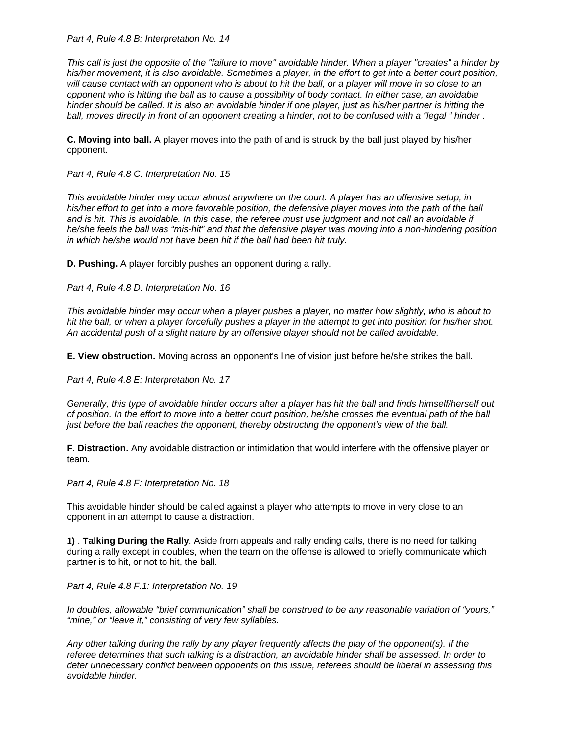*Part 4, Rule 4.8 B: Interpretation No. 14* 

*This call is just the opposite of the "failure to move" avoidable hinder. When a player "creates" a hinder by his/her movement, it is also avoidable. Sometimes a player, in the effort to get into a better court position, will cause contact with an opponent who is about to hit the ball, or a player will move in so close to an opponent who is hitting the ball as to cause a possibility of body contact. In either case, an avoidable hinder should be called. It is also an avoidable hinder if one player, just as his/her partner is hitting the ball, moves directly in front of an opponent creating a hinder, not to be confused with a "legal " hinder .*

**C. Moving into ball.** A player moves into the path of and is struck by the ball just played by his/her opponent.

*Part 4, Rule 4.8 C: Interpretation No. 15* 

*This avoidable hinder may occur almost anywhere on the court. A player has an offensive setup; in his/her effort to get into a more favorable position, the defensive player moves into the path of the ball and is hit. This is avoidable. In this case, the referee must use judgment and not call an avoidable if he/she feels the ball was "mis-hit" and that the defensive player was moving into a non-hindering position in which he/she would not have been hit if the ball had been hit truly.*

**D. Pushing.** A player forcibly pushes an opponent during a rally.

*Part 4, Rule 4.8 D: Interpretation No. 16* 

*This avoidable hinder may occur when a player pushes a player, no matter how slightly, who is about to hit the ball, or when a player forcefully pushes a player in the attempt to get into position for his/her shot. An accidental push of a slight nature by an offensive player should not be called avoidable.* 

**E. View obstruction.** Moving across an opponent's line of vision just before he/she strikes the ball.

*Part 4, Rule 4.8 E: Interpretation No. 17* 

*Generally, this type of avoidable hinder occurs after a player has hit the ball and finds himself/herself out of position. In the effort to move into a better court position, he/she crosses the eventual path of the ball just before the ball reaches the opponent, thereby obstructing the opponent's view of the ball.*

**F. Distraction.** Any avoidable distraction or intimidation that would interfere with the offensive player or team.

*Part 4, Rule 4.8 F: Interpretation No. 18* 

This avoidable hinder should be called against a player who attempts to move in very close to an opponent in an attempt to cause a distraction.

**1)** . **Talking During the Rally**. Aside from appeals and rally ending calls, there is no need for talking during a rally except in doubles, when the team on the offense is allowed to briefly communicate which partner is to hit, or not to hit, the ball.

*Part 4, Rule 4.8 F.1: Interpretation No. 19* 

*In doubles, allowable "brief communication" shall be construed to be any reasonable variation of "yours," "mine," or "leave it," consisting of very few syllables.* 

*Any other talking during the rally by any player frequently affects the play of the opponent(s). If the referee determines that such talking is a distraction, an avoidable hinder shall be assessed. In order to deter unnecessary conflict between opponents on this issue, referees should be liberal in assessing this avoidable hinder.*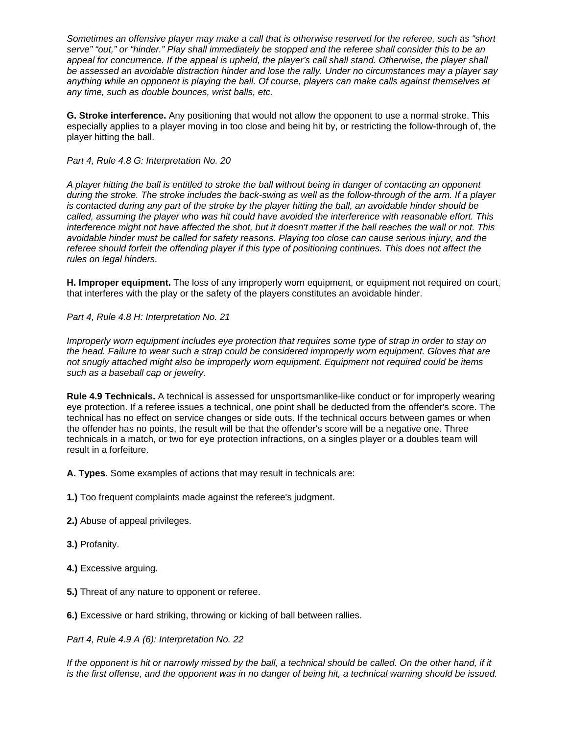*Sometimes an offensive player may make a call that is otherwise reserved for the referee, such as "short serve" "out," or "hinder." Play shall immediately be stopped and the referee shall consider this to be an appeal for concurrence. If the appeal is upheld, the player's call shall stand. Otherwise, the player shall be assessed an avoidable distraction hinder and lose the rally. Under no circumstances may a player say anything while an opponent is playing the ball. Of course, players can make calls against themselves at any time, such as double bounces, wrist balls, etc.*

**G. Stroke interference.** Any positioning that would not allow the opponent to use a normal stroke. This especially applies to a player moving in too close and being hit by, or restricting the follow-through of, the player hitting the ball.

#### *Part 4, Rule 4.8 G: Interpretation No. 20*

*A player hitting the ball is entitled to stroke the ball without being in danger of contacting an opponent during the stroke. The stroke includes the back-swing as well as the follow-through of the arm. If a player is contacted during any part of the stroke by the player hitting the ball, an avoidable hinder should be called, assuming the player who was hit could have avoided the interference with reasonable effort. This interference might not have affected the shot, but it doesn't matter if the ball reaches the wall or not. This avoidable hinder must be called for safety reasons. Playing too close can cause serious injury, and the referee should forfeit the offending player if this type of positioning continues. This does not affect the rules on legal hinders.*

**H. Improper equipment.** The loss of any improperly worn equipment, or equipment not required on court, that interferes with the play or the safety of the players constitutes an avoidable hinder.

*Part 4, Rule 4.8 H: Interpretation No. 21* 

*Improperly worn equipment includes eye protection that requires some type of strap in order to stay on the head. Failure to wear such a strap could be considered improperly worn equipment. Gloves that are not snugly attached might also be improperly worn equipment. Equipment not required could be items such as a baseball cap or jewelry.* 

**Rule 4.9 Technicals.** A technical is assessed for unsportsmanlike-like conduct or for improperly wearing eye protection. If a referee issues a technical, one point shall be deducted from the offender's score. The technical has no effect on service changes or side outs. If the technical occurs between games or when the offender has no points, the result will be that the offender's score will be a negative one. Three technicals in a match, or two for eye protection infractions, on a singles player or a doubles team will result in a forfeiture.

**A. Types.** Some examples of actions that may result in technicals are:

**1.)** Too frequent complaints made against the referee's judgment.

**2.)** Abuse of appeal privileges.

**3.)** Profanity.

**4.)** Excessive arguing.

**5.)** Threat of any nature to opponent or referee.

**6.)** Excessive or hard striking, throwing or kicking of ball between rallies.

*Part 4, Rule 4.9 A (6): Interpretation No. 22* 

*If the opponent is hit or narrowly missed by the ball, a technical should be called. On the other hand, if it is the first offense, and the opponent was in no danger of being hit, a technical warning should be issued.*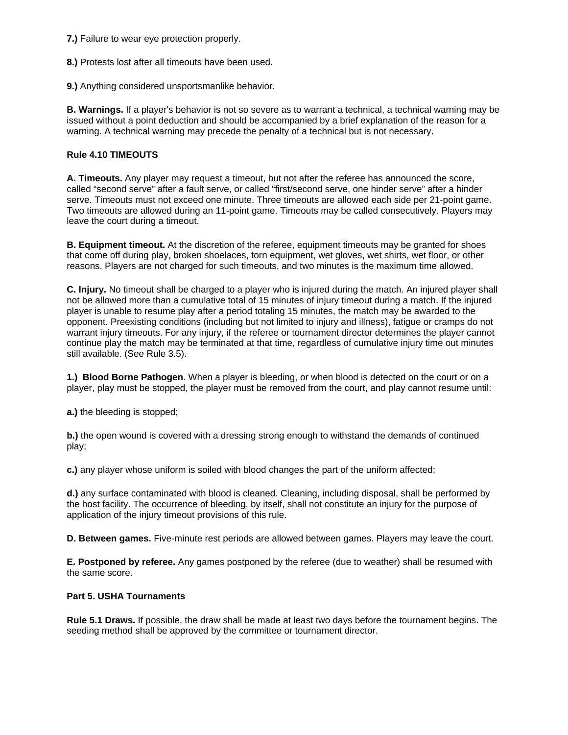**7.)** Failure to wear eye protection properly.

**8.)** Protests lost after all timeouts have been used.

**9.)** Anything considered unsportsmanlike behavior.

**B. Warnings.** If a player's behavior is not so severe as to warrant a technical, a technical warning may be issued without a point deduction and should be accompanied by a brief explanation of the reason for a warning. A technical warning may precede the penalty of a technical but is not necessary.

## **Rule 4.10 TIMEOUTS**

**A. Timeouts.** Any player may request a timeout, but not after the referee has announced the score, called "second serve" after a fault serve, or called "first/second serve, one hinder serve" after a hinder serve. Timeouts must not exceed one minute. Three timeouts are allowed each side per 21-point game. Two timeouts are allowed during an 11-point game. Timeouts may be called consecutively. Players may leave the court during a timeout.

**B. Equipment timeout.** At the discretion of the referee, equipment timeouts may be granted for shoes that come off during play, broken shoelaces, torn equipment, wet gloves, wet shirts, wet floor, or other reasons. Players are not charged for such timeouts, and two minutes is the maximum time allowed.

**C. Injury.** No timeout shall be charged to a player who is injured during the match. An injured player shall not be allowed more than a cumulative total of 15 minutes of injury timeout during a match. If the injured player is unable to resume play after a period totaling 15 minutes, the match may be awarded to the opponent. Preexisting conditions (including but not limited to injury and illness), fatigue or cramps do not warrant injury timeouts. For any injury, if the referee or tournament director determines the player cannot continue play the match may be terminated at that time, regardless of cumulative injury time out minutes still available. (See Rule 3.5).

**1.) Blood Borne Pathogen**. When a player is bleeding, or when blood is detected on the court or on a player, play must be stopped, the player must be removed from the court, and play cannot resume until:

**a.)** the bleeding is stopped;

**b.)** the open wound is covered with a dressing strong enough to withstand the demands of continued play;

**c.)** any player whose uniform is soiled with blood changes the part of the uniform affected;

**d.)** any surface contaminated with blood is cleaned. Cleaning, including disposal, shall be performed by the host facility. The occurrence of bleeding, by itself, shall not constitute an injury for the purpose of application of the injury timeout provisions of this rule.

**D. Between games.** Five-minute rest periods are allowed between games. Players may leave the court.

**E. Postponed by referee.** Any games postponed by the referee (due to weather) shall be resumed with the same score.

# **Part 5. USHA Tournaments**

**Rule 5.1 Draws.** If possible, the draw shall be made at least two days before the tournament begins. The seeding method shall be approved by the committee or tournament director.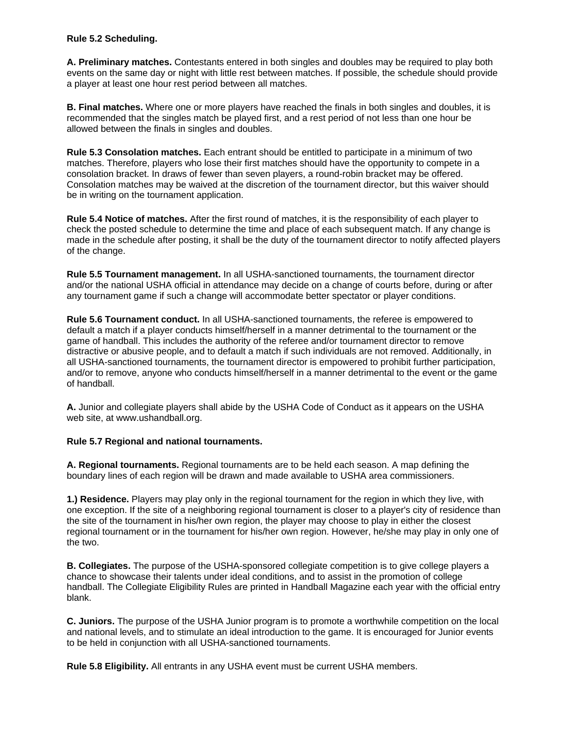### **Rule 5.2 Scheduling.**

**A. Preliminary matches.** Contestants entered in both singles and doubles may be required to play both events on the same day or night with little rest between matches. If possible, the schedule should provide a player at least one hour rest period between all matches.

**B. Final matches.** Where one or more players have reached the finals in both singles and doubles, it is recommended that the singles match be played first, and a rest period of not less than one hour be allowed between the finals in singles and doubles.

**Rule 5.3 Consolation matches.** Each entrant should be entitled to participate in a minimum of two matches. Therefore, players who lose their first matches should have the opportunity to compete in a consolation bracket. In draws of fewer than seven players, a round-robin bracket may be offered. Consolation matches may be waived at the discretion of the tournament director, but this waiver should be in writing on the tournament application.

**Rule 5.4 Notice of matches.** After the first round of matches, it is the responsibility of each player to check the posted schedule to determine the time and place of each subsequent match. If any change is made in the schedule after posting, it shall be the duty of the tournament director to notify affected players of the change.

**Rule 5.5 Tournament management.** In all USHA-sanctioned tournaments, the tournament director and/or the national USHA official in attendance may decide on a change of courts before, during or after any tournament game if such a change will accommodate better spectator or player conditions.

**Rule 5.6 Tournament conduct.** In all USHA-sanctioned tournaments, the referee is empowered to default a match if a player conducts himself/herself in a manner detrimental to the tournament or the game of handball. This includes the authority of the referee and/or tournament director to remove distractive or abusive people, and to default a match if such individuals are not removed. Additionally, in all USHA-sanctioned tournaments, the tournament director is empowered to prohibit further participation, and/or to remove, anyone who conducts himself/herself in a manner detrimental to the event or the game of handball.

**A.** Junior and collegiate players shall abide by the USHA Code of Conduct as it appears on the USHA web site, at www.ushandball.org.

# **Rule 5.7 Regional and national tournaments.**

**A. Regional tournaments.** Regional tournaments are to be held each season. A map defining the boundary lines of each region will be drawn and made available to USHA area commissioners.

**1.) Residence.** Players may play only in the regional tournament for the region in which they live, with one exception. If the site of a neighboring regional tournament is closer to a player's city of residence than the site of the tournament in his/her own region, the player may choose to play in either the closest regional tournament or in the tournament for his/her own region. However, he/she may play in only one of the two.

**B. Collegiates.** The purpose of the USHA-sponsored collegiate competition is to give college players a chance to showcase their talents under ideal conditions, and to assist in the promotion of college handball. The Collegiate Eligibility Rules are printed in Handball Magazine each year with the official entry blank.

**C. Juniors.** The purpose of the USHA Junior program is to promote a worthwhile competition on the local and national levels, and to stimulate an ideal introduction to the game. It is encouraged for Junior events to be held in conjunction with all USHA-sanctioned tournaments.

**Rule 5.8 Eligibility.** All entrants in any USHA event must be current USHA members.